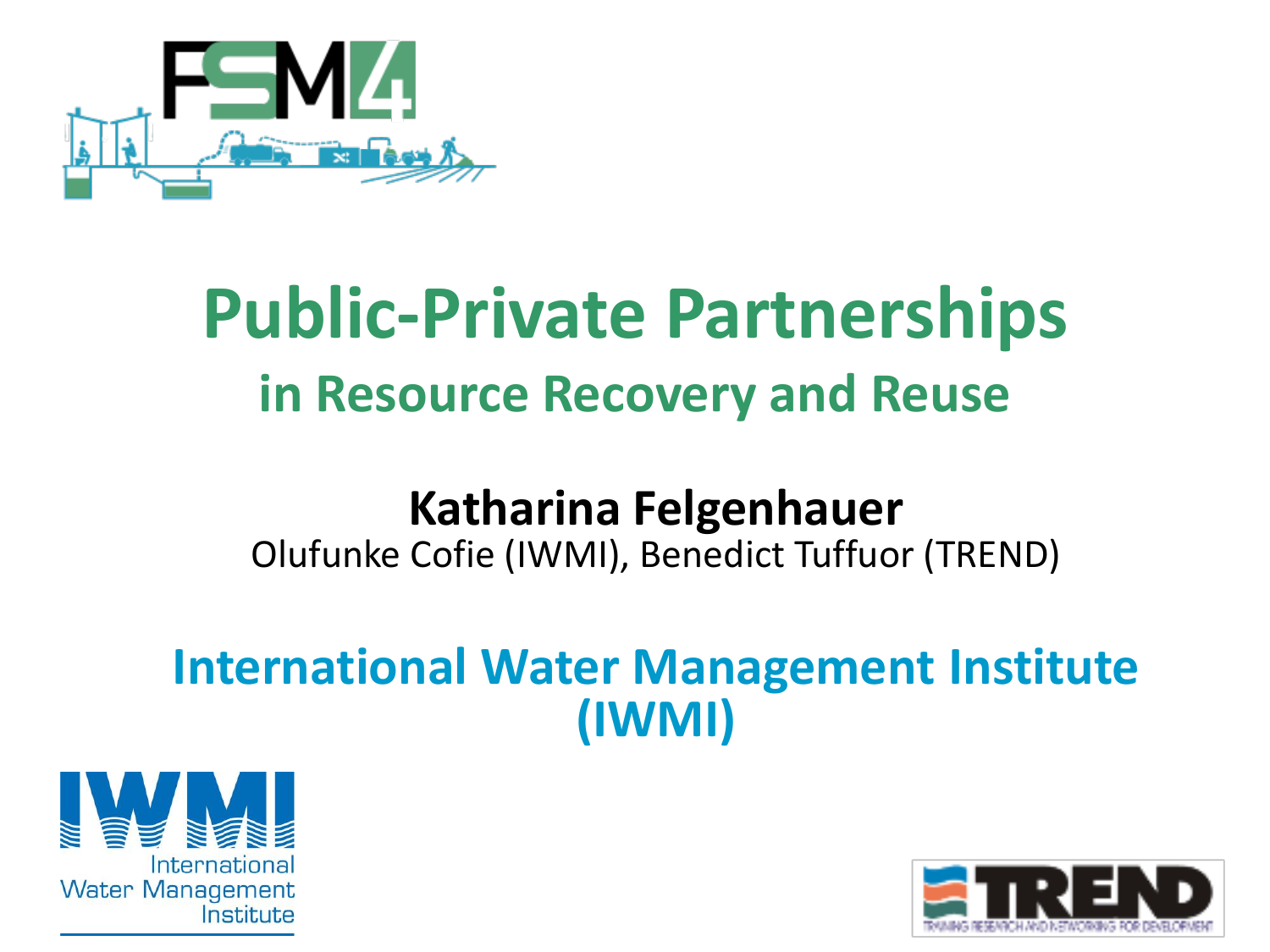

# **Public-Private Partnerships in Resource Recovery and Reuse**

#### **Katharina Felgenhauer**

Olufunke Cofie (IWMI), Benedict Tuffuor (TREND)

#### **International Water Management Institute (IWMI)**



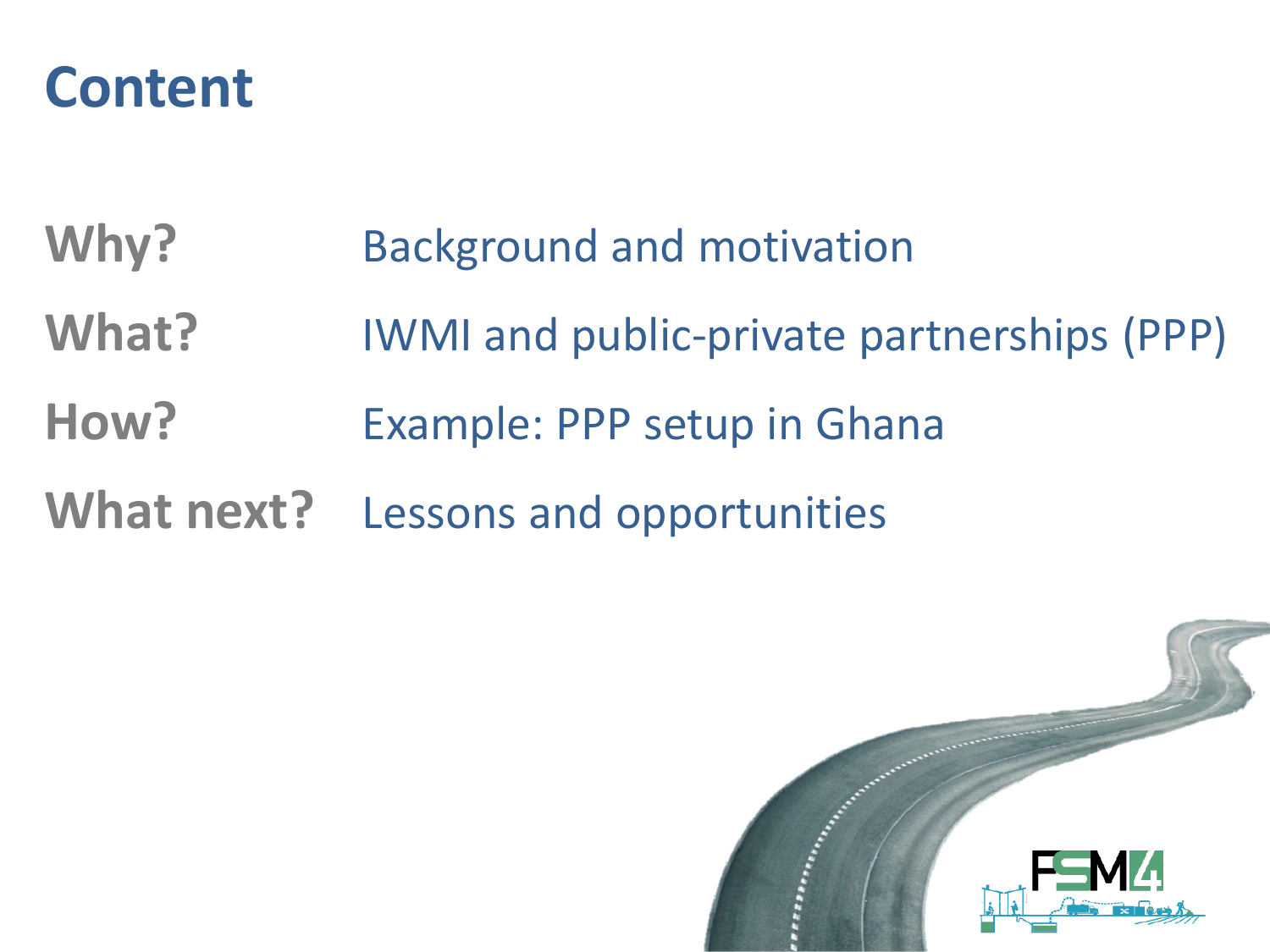#### **Content**

- Why? **Background and motivation**
- **What?** IWMI and public-private partnerships (PPP)
- How? **Example: PPP setup in Ghana**
- **What next?** Lessons and opportunities

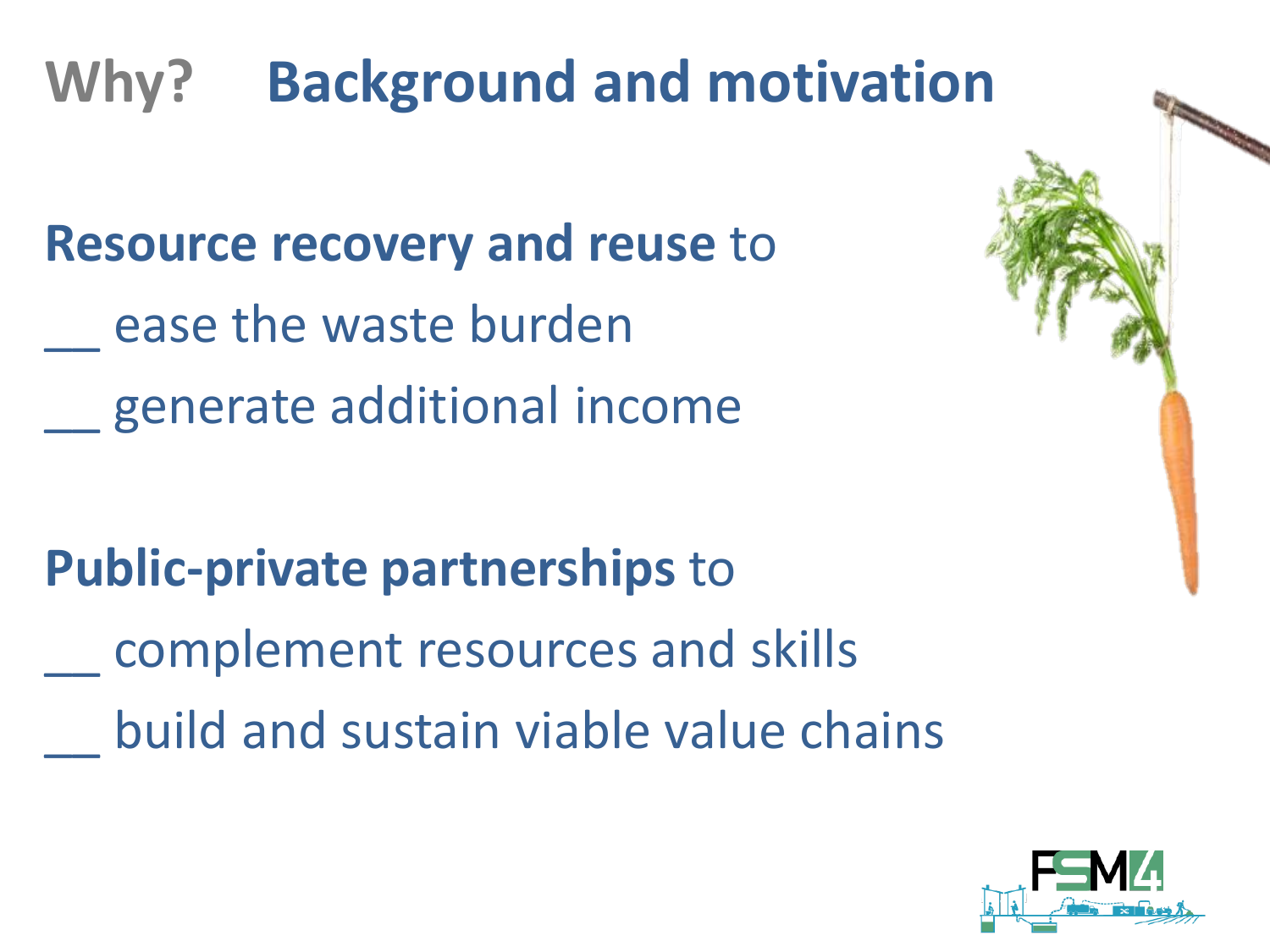# **Why? Background and motivation**

**Resource recovery and reuse** to ease the waste burden \_\_ generate additional income

**Public-private partnerships** to \_\_ complement resources and skills \_\_ build and sustain viable value chains

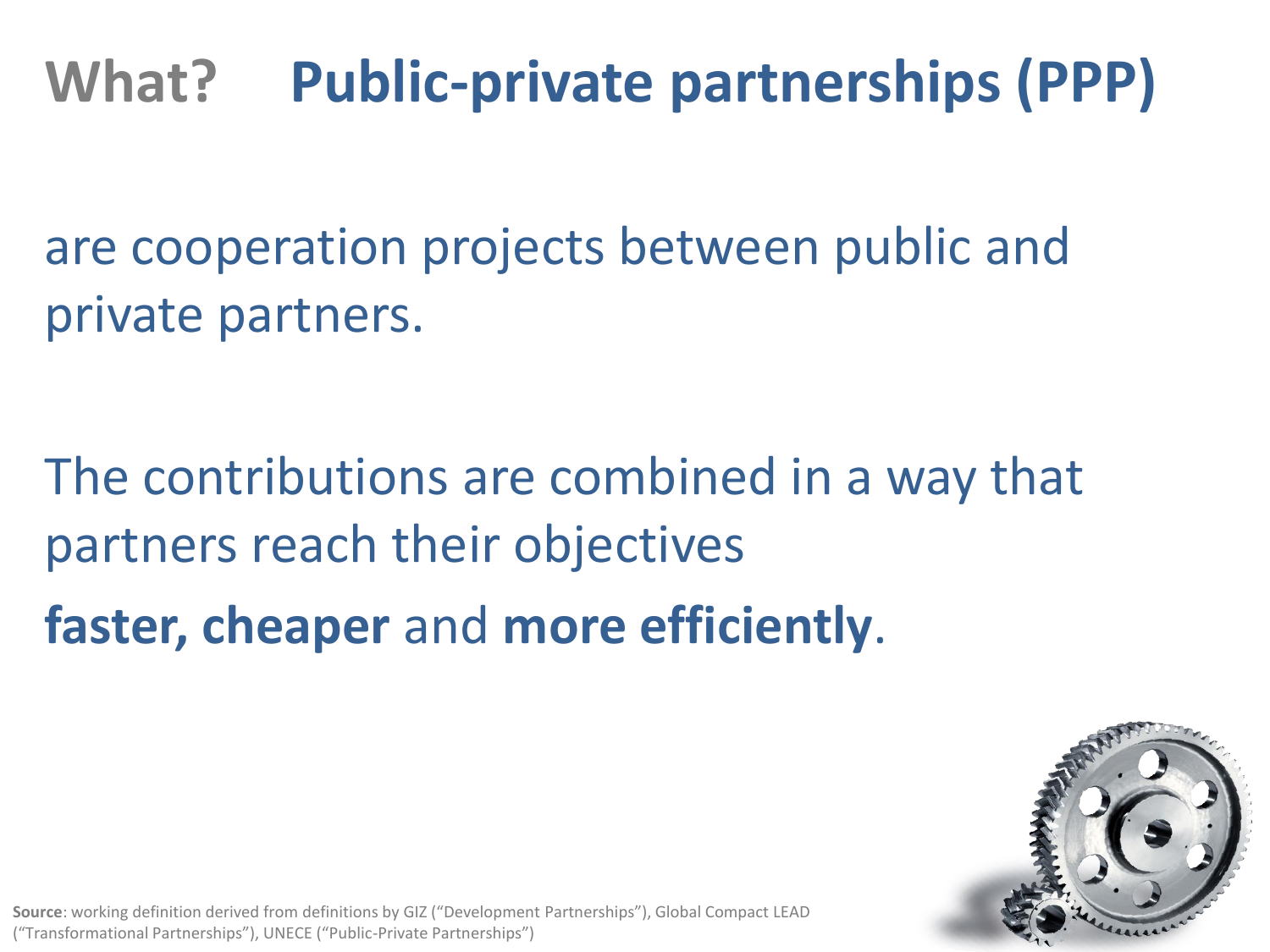## **What? Public-private partnerships (PPP)**

are cooperation projects between public and private partners.

The contributions are combined in a way that partners reach their objectives

**faster, cheaper** and **more efficiently**.



**Source**: working definition derived from definitions by GIZ ("Development Partnerships"), Global Compact LEAD ("Transformational Partnerships"), UNECE ("Public-Private Partnerships")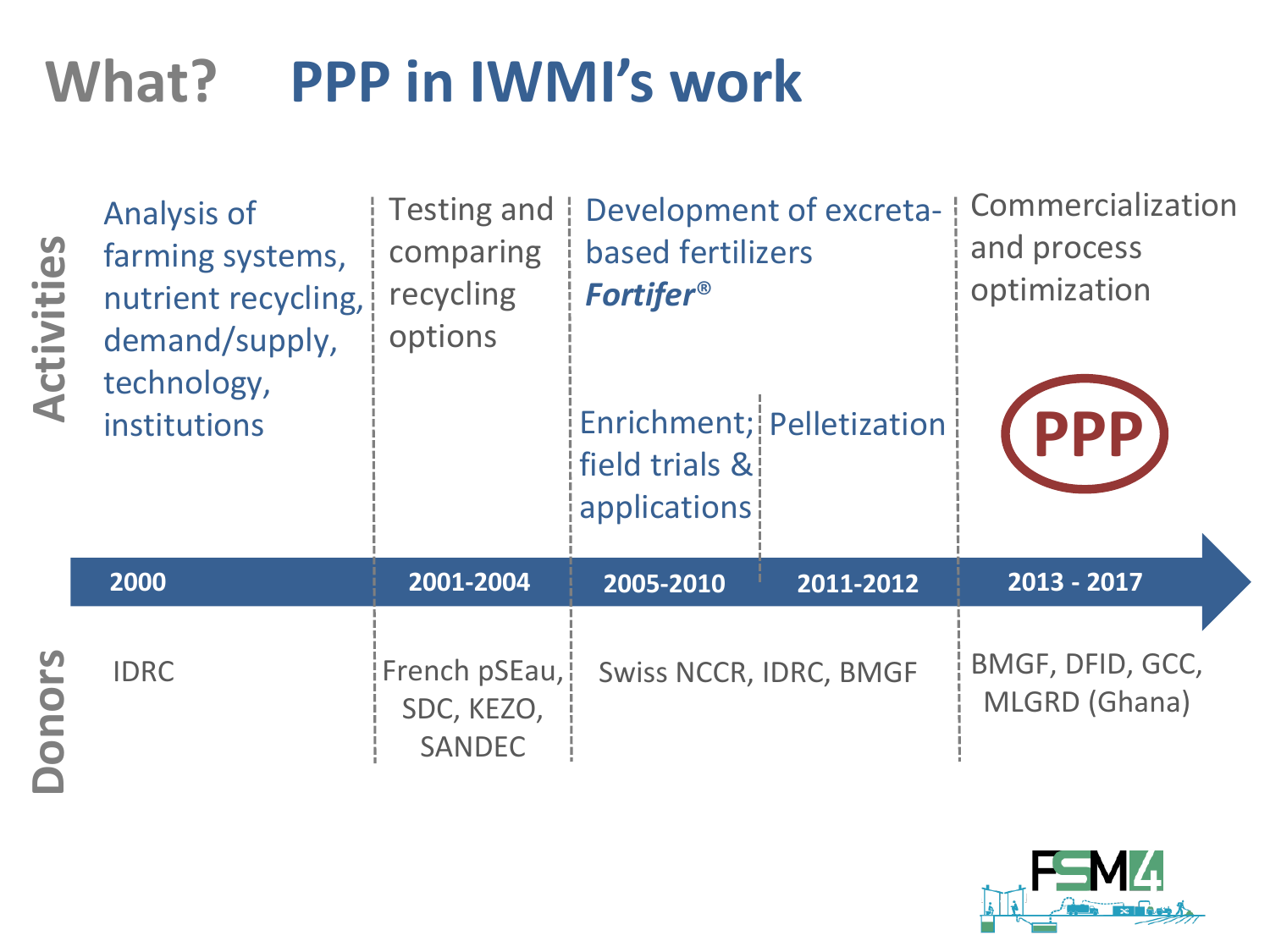# **What? PPP in IWMI's work**

| Activities      | <b>Analysis of</b><br>farming systems,<br>nutrient recycling,<br>demand/supply,<br>technology,<br>institutions | <b>Testing and</b><br>comparing<br>recycling<br>options | Development of excreta-   Commercialization<br>based fertilizers<br><b>Fortifer®</b><br>Enrichment; Pelletization<br>field trials &<br>applications |           | and process<br>optimization<br><b>PPP</b> |
|-----------------|----------------------------------------------------------------------------------------------------------------|---------------------------------------------------------|-----------------------------------------------------------------------------------------------------------------------------------------------------|-----------|-------------------------------------------|
|                 | 2000                                                                                                           | 2001-2004                                               | 2005-2010                                                                                                                                           | 2011-2012 | 2013 - 2017                               |
| <u>rs</u><br>Ou | <b>IDRC</b>                                                                                                    | French pSEau,<br>SDC, KEZO,<br><b>SANDEC</b>            | <b>Swiss NCCR, IDRC, BMGF</b>                                                                                                                       |           | BMGF, DFID, GCC,<br>MLGRD (Ghana)         |

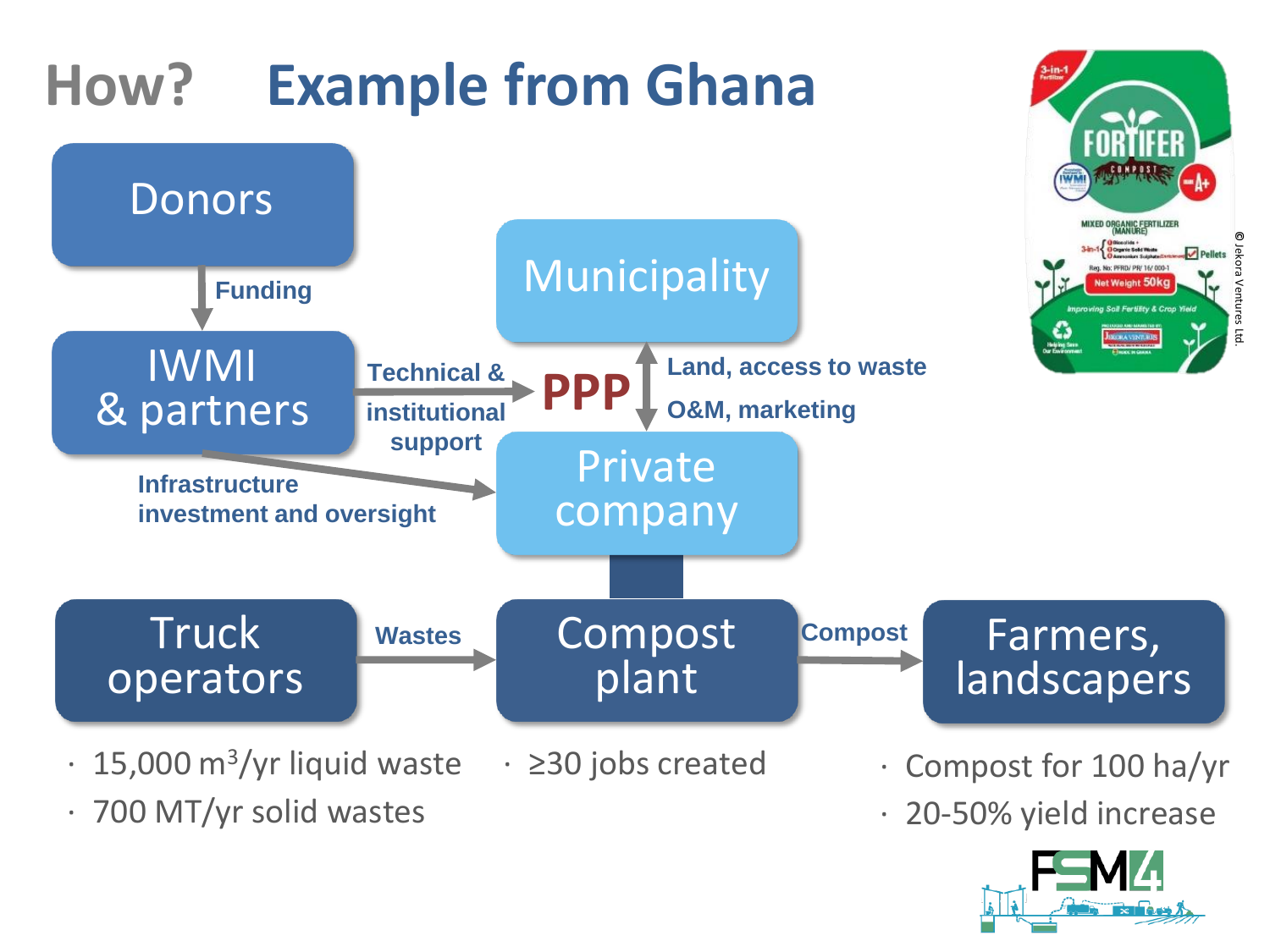

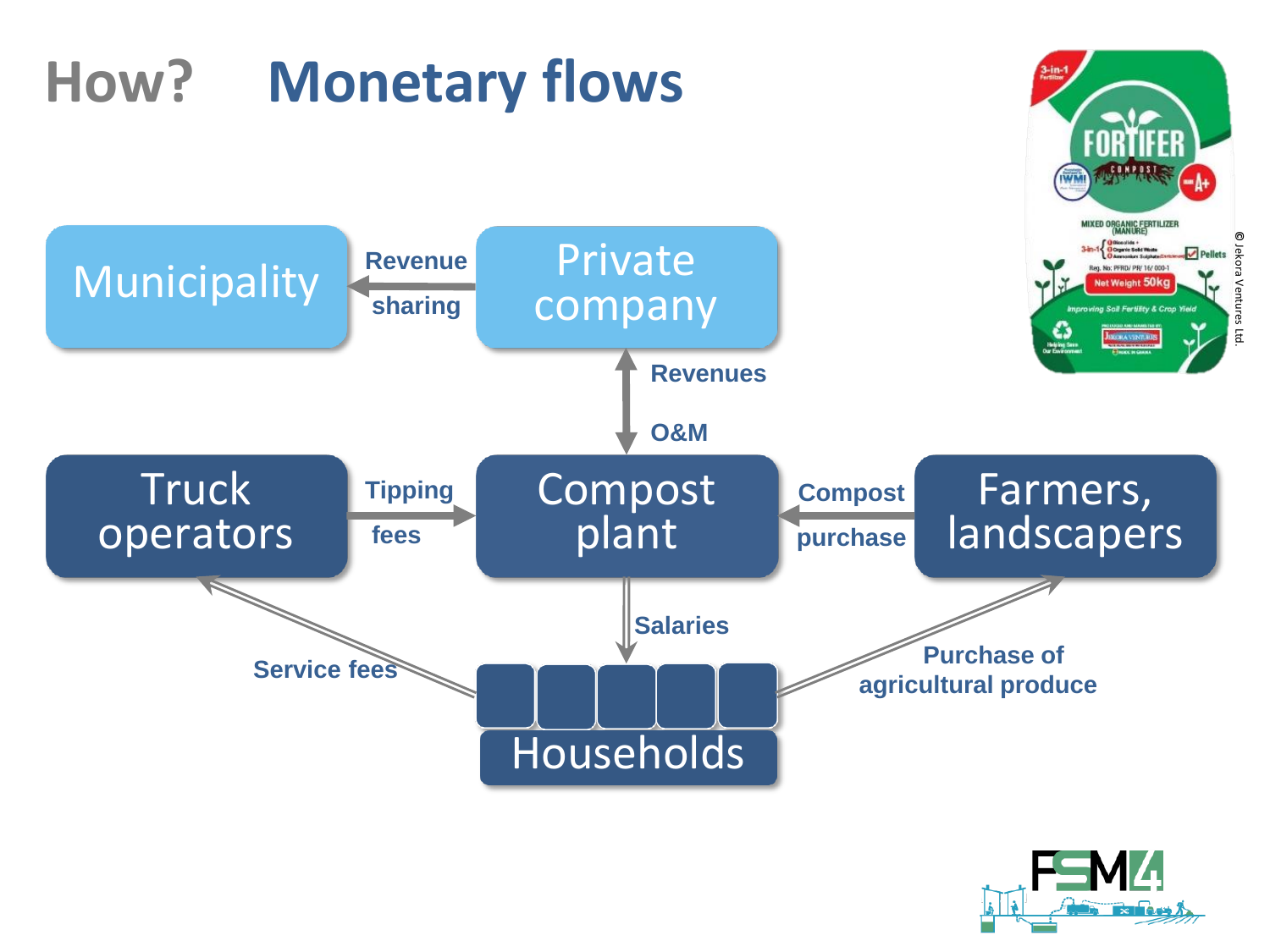# **How? Monetary flows**



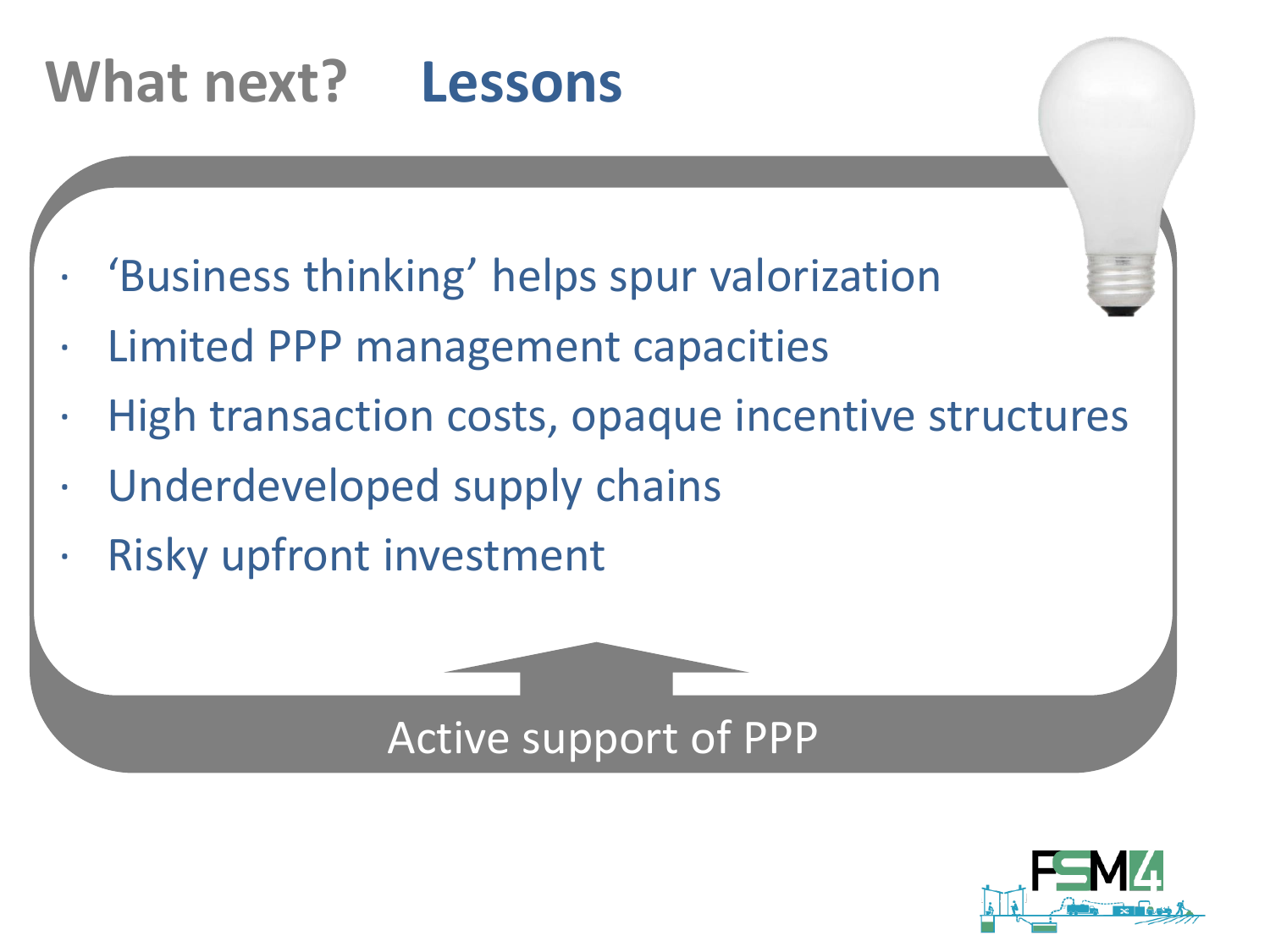# **What next? Lessons**

- · 'Business thinking' helps spur valorization
- · Limited PPP management capacities
- **r** · High transaction costs, opaque incentive structures
- · Underdeveloped supply chains
- · Risky upfront investment



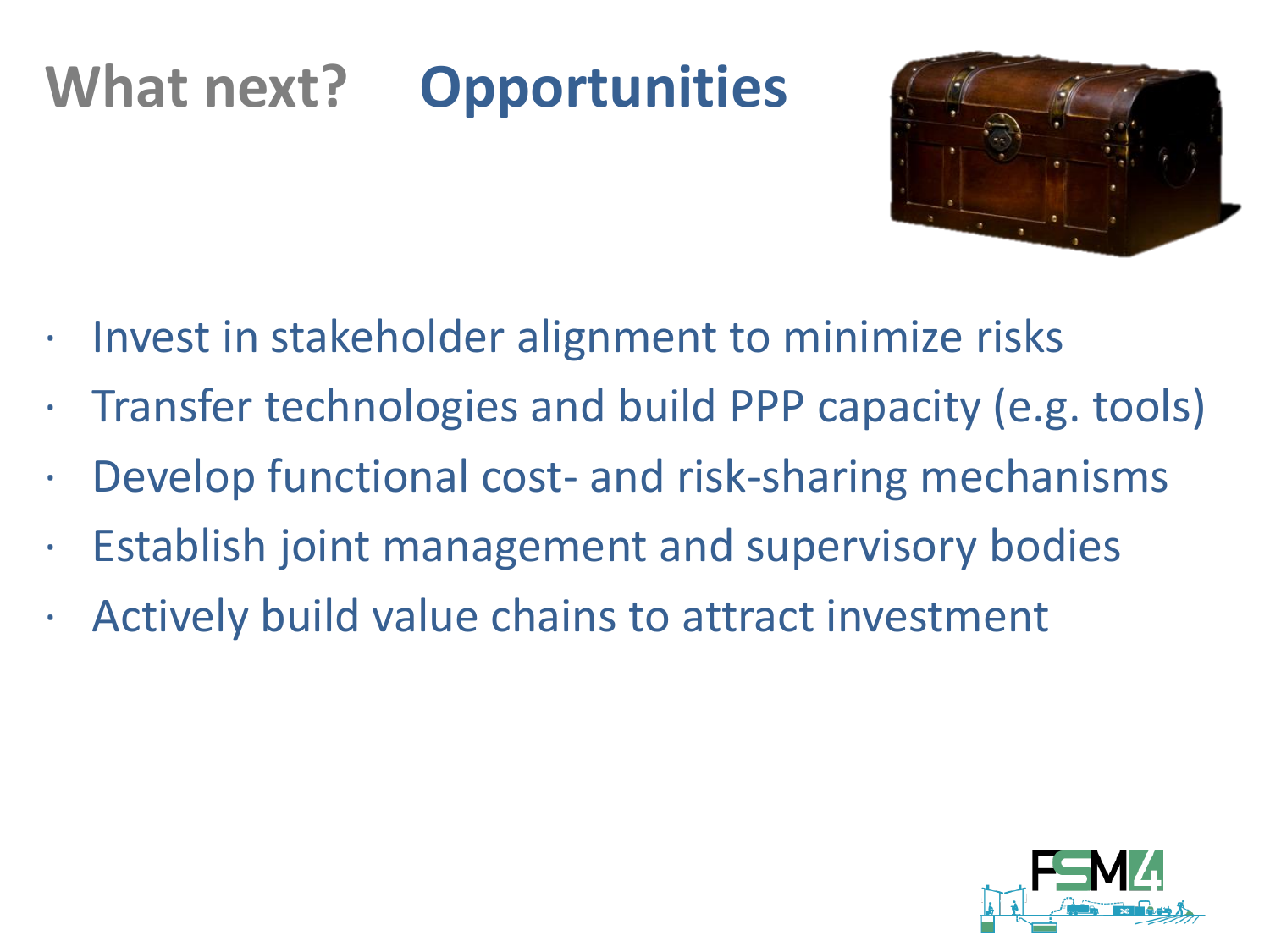# **What next? Opportunities**



- · Invest in stakeholder alignment to minimize risks
- · Transfer technologies and build PPP capacity (e.g. tools)
- · Develop functional cost- and risk-sharing mechanisms
- · Establish joint management and supervisory bodies
- · Actively build value chains to attract investment